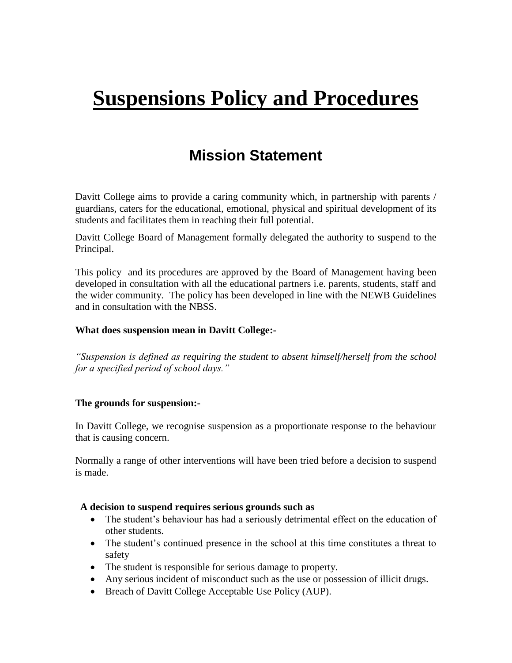# **Suspensions Policy and Procedures**

# **Mission Statement**

Davitt College aims to provide a caring community which, in partnership with parents / guardians, caters for the educational, emotional, physical and spiritual development of its students and facilitates them in reaching their full potential.

Davitt College Board of Management formally delegated the authority to suspend to the Principal.

This policy and its procedures are approved by the Board of Management having been developed in consultation with all the educational partners i.e. parents, students, staff and the wider community. The policy has been developed in line with the NEWB Guidelines and in consultation with the NBSS.

#### **What does suspension mean in Davitt College:-**

*"Suspension is defined as requiring the student to absent himself/herself from the school for a specified period of school days."* 

#### **The grounds for suspension:-**

In Davitt College, we recognise suspension as a proportionate response to the behaviour that is causing concern.

Normally a range of other interventions will have been tried before a decision to suspend is made.

#### **A decision to suspend requires serious grounds such as**

- The student's behaviour has had a seriously detrimental effect on the education of other students.
- The student's continued presence in the school at this time constitutes a threat to safety
- The student is responsible for serious damage to property.
- Any serious incident of misconduct such as the use or possession of illicit drugs.
- Breach of Davitt College Acceptable Use Policy (AUP).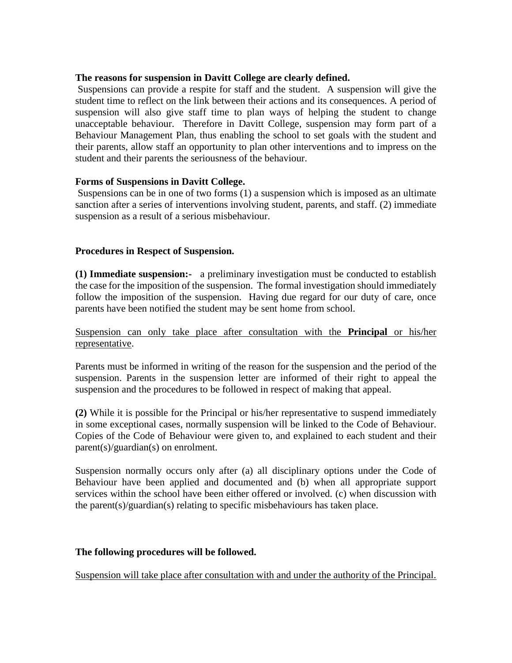#### **The reasons for suspension in Davitt College are clearly defined.**

Suspensions can provide a respite for staff and the student. A suspension will give the student time to reflect on the link between their actions and its consequences. A period of suspension will also give staff time to plan ways of helping the student to change unacceptable behaviour. Therefore in Davitt College, suspension may form part of a Behaviour Management Plan, thus enabling the school to set goals with the student and their parents, allow staff an opportunity to plan other interventions and to impress on the student and their parents the seriousness of the behaviour.

### **Forms of Suspensions in Davitt College.**

Suspensions can be in one of two forms (1) a suspension which is imposed as an ultimate sanction after a series of interventions involving student, parents, and staff. (2) immediate suspension as a result of a serious misbehaviour.

### **Procedures in Respect of Suspension.**

**(1) Immediate suspension:-** a preliminary investigation must be conducted to establish the case for the imposition of the suspension. The formal investigation should immediately follow the imposition of the suspension. Having due regard for our duty of care, once parents have been notified the student may be sent home from school.

### Suspension can only take place after consultation with the **Principal** or his/her representative.

Parents must be informed in writing of the reason for the suspension and the period of the suspension. Parents in the suspension letter are informed of their right to appeal the suspension and the procedures to be followed in respect of making that appeal.

**(2)** While it is possible for the Principal or his/her representative to suspend immediately in some exceptional cases, normally suspension will be linked to the Code of Behaviour. Copies of the Code of Behaviour were given to, and explained to each student and their parent(s)/guardian(s) on enrolment.

Suspension normally occurs only after (a) all disciplinary options under the Code of Behaviour have been applied and documented and (b) when all appropriate support services within the school have been either offered or involved. (c) when discussion with the parent(s)/guardian(s) relating to specific misbehaviours has taken place.

### **The following procedures will be followed.**

Suspension will take place after consultation with and under the authority of the Principal.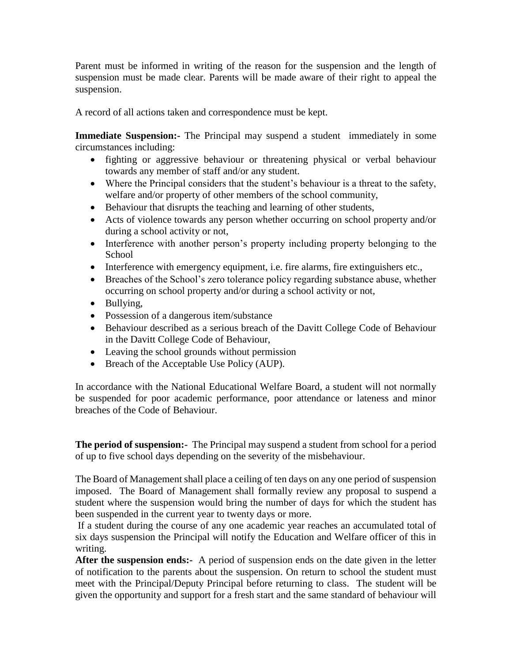Parent must be informed in writing of the reason for the suspension and the length of suspension must be made clear. Parents will be made aware of their right to appeal the suspension.

A record of all actions taken and correspondence must be kept.

**Immediate Suspension:** The Principal may suspend a student immediately in some circumstances including:

- fighting or aggressive behaviour or threatening physical or verbal behaviour towards any member of staff and/or any student.
- Where the Principal considers that the student's behaviour is a threat to the safety, welfare and/or property of other members of the school community,
- Behaviour that disrupts the teaching and learning of other students,
- Acts of violence towards any person whether occurring on school property and/or during a school activity or not,
- Interference with another person's property including property belonging to the **School**
- Interference with emergency equipment, i.e. fire alarms, fire extinguishers etc.,
- Breaches of the School's zero tolerance policy regarding substance abuse, whether occurring on school property and/or during a school activity or not,
- Bullying,
- Possession of a dangerous item/substance
- Behaviour described as a serious breach of the Davitt College Code of Behaviour in the Davitt College Code of Behaviour,
- Leaving the school grounds without permission
- Breach of the Acceptable Use Policy (AUP).

In accordance with the National Educational Welfare Board, a student will not normally be suspended for poor academic performance, poor attendance or lateness and minor breaches of the Code of Behaviour.

**The period of suspension:-** The Principal may suspend a student from school for a period of up to five school days depending on the severity of the misbehaviour.

The Board of Management shall place a ceiling of ten days on any one period of suspension imposed. The Board of Management shall formally review any proposal to suspend a student where the suspension would bring the number of days for which the student has been suspended in the current year to twenty days or more.

If a student during the course of any one academic year reaches an accumulated total of six days suspension the Principal will notify the Education and Welfare officer of this in writing.

**After the suspension ends:-** A period of suspension ends on the date given in the letter of notification to the parents about the suspension. On return to school the student must meet with the Principal/Deputy Principal before returning to class. The student will be given the opportunity and support for a fresh start and the same standard of behaviour will